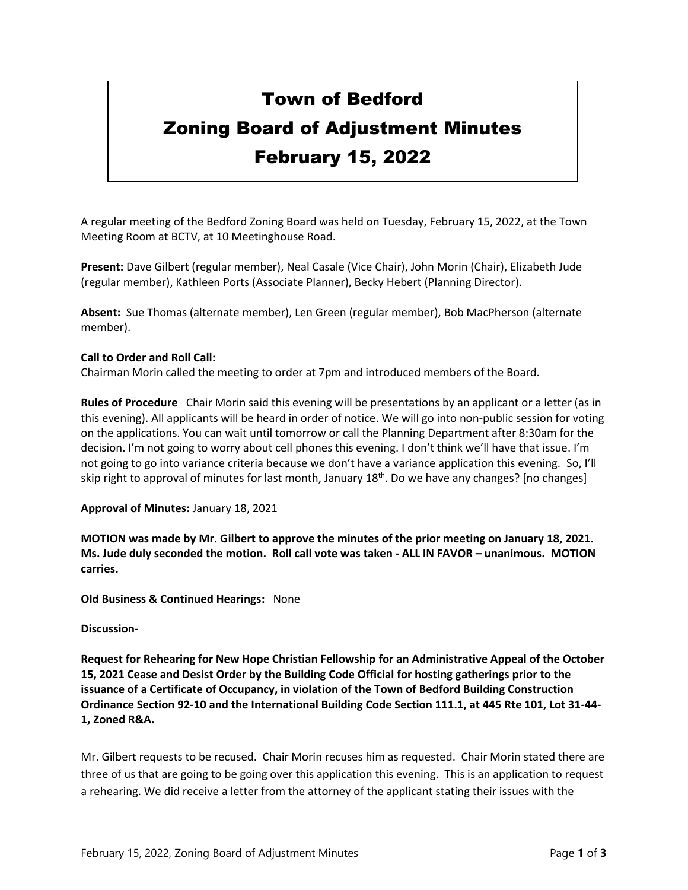## Town of Bedford Zoning Board of Adjustment Minutes February 15, 2022

A regular meeting of the Bedford Zoning Board was held on Tuesday, February 15, 2022, at the Town Meeting Room at BCTV, at 10 Meetinghouse Road.

**Present:** Dave Gilbert (regular member), Neal Casale (Vice Chair), John Morin (Chair), Elizabeth Jude (regular member), Kathleen Ports (Associate Planner), Becky Hebert (Planning Director).

**Absent:** Sue Thomas (alternate member), Len Green (regular member), Bob MacPherson (alternate member).

## **Call to Order and Roll Call:**

Chairman Morin called the meeting to order at 7pm and introduced members of the Board.

**Rules of Procedure** Chair Morin said this evening will be presentations by an applicant or a letter (as in this evening). All applicants will be heard in order of notice. We will go into non-public session for voting on the applications. You can wait until tomorrow or call the Planning Department after 8:30am for the decision. I'm not going to worry about cell phones this evening. I don't think we'll have that issue. I'm not going to go into variance criteria because we don't have a variance application this evening. So, I'll skip right to approval of minutes for last month, January 18th. Do we have any changes? [no changes]

## **Approval of Minutes:** January 18, 2021

**MOTION was made by Mr. Gilbert to approve the minutes of the prior meeting on January 18, 2021. Ms. Jude duly seconded the motion. Roll call vote was taken - ALL IN FAVOR – unanimous. MOTION carries.**

**Old Business & Continued Hearings:** None

## **Discussion-**

**Request for Rehearing for New Hope Christian Fellowship for an Administrative Appeal of the October 15, 2021 Cease and Desist Order by the Building Code Official for hosting gatherings prior to the issuance of a Certificate of Occupancy, in violation of the Town of Bedford Building Construction Ordinance Section 92-10 and the International Building Code Section 111.1, at 445 Rte 101, Lot 31-44- 1, Zoned R&A.** 

Mr. Gilbert requests to be recused. Chair Morin recuses him as requested. Chair Morin stated there are three of us that are going to be going over this application this evening. This is an application to request a rehearing. We did receive a letter from the attorney of the applicant stating their issues with the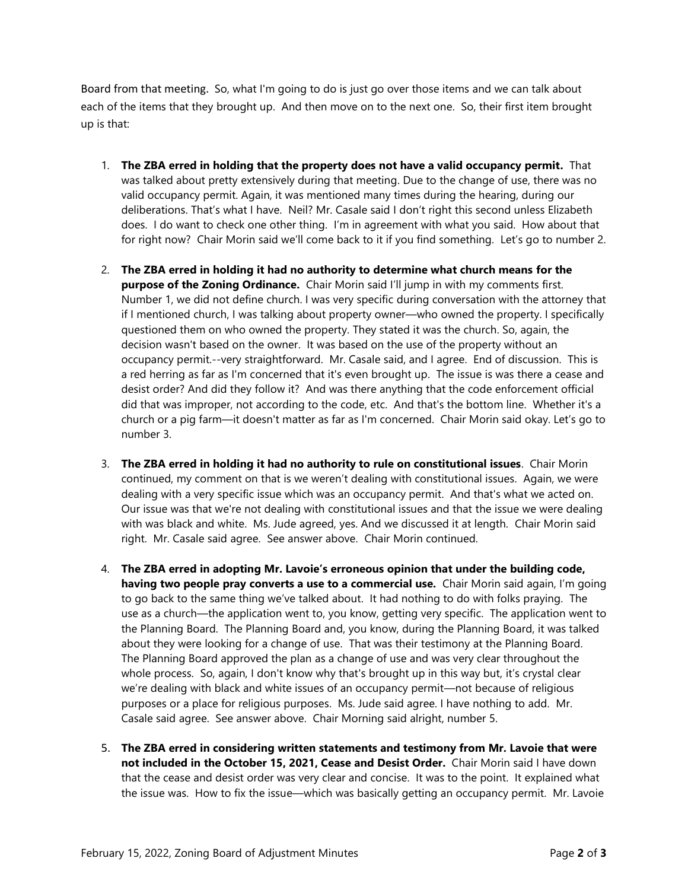Board from that meeting. So, what I'm going to do is just go over those items and we can talk about each of the items that they brought up. And then move on to the next one. So, their first item brought up is that:

- 1. **The ZBA erred in holding that the property does not have a valid occupancy permit.** That was talked about pretty extensively during that meeting. Due to the change of use, there was no valid occupancy permit. Again, it was mentioned many times during the hearing, during our deliberations. That's what I have. Neil? Mr. Casale said I don't right this second unless Elizabeth does. I do want to check one other thing. I'm in agreement with what you said. How about that for right now? Chair Morin said we'll come back to it if you find something. Let's go to number 2.
- 2. **The ZBA erred in holding it had no authority to determine what church means for the purpose of the Zoning Ordinance.** Chair Morin said I'll jump in with my comments first. Number 1, we did not define church. I was very specific during conversation with the attorney that if I mentioned church, I was talking about property owner—who owned the property. I specifically questioned them on who owned the property. They stated it was the church. So, again, the decision wasn't based on the owner. It was based on the use of the property without an occupancy permit.--very straightforward. Mr. Casale said, and I agree. End of discussion. This is a red herring as far as I'm concerned that it's even brought up. The issue is was there a cease and desist order? And did they follow it? And was there anything that the code enforcement official did that was improper, not according to the code, etc. And that's the bottom line. Whether it's a church or a pig farm—it doesn't matter as far as I'm concerned. Chair Morin said okay. Let's go to number 3.
- 3. **The ZBA erred in holding it had no authority to rule on constitutional issues**. Chair Morin continued, my comment on that is we weren't dealing with constitutional issues. Again, we were dealing with a very specific issue which was an occupancy permit. And that's what we acted on. Our issue was that we're not dealing with constitutional issues and that the issue we were dealing with was black and white. Ms. Jude agreed, yes. And we discussed it at length. Chair Morin said right. Mr. Casale said agree. See answer above. Chair Morin continued.
- 4. **The ZBA erred in adopting Mr. Lavoie's erroneous opinion that under the building code, having two people pray converts a use to a commercial use.** Chair Morin said again, I'm going to go back to the same thing we've talked about. It had nothing to do with folks praying. The use as a church—the application went to, you know, getting very specific. The application went to the Planning Board. The Planning Board and, you know, during the Planning Board, it was talked about they were looking for a change of use. That was their testimony at the Planning Board. The Planning Board approved the plan as a change of use and was very clear throughout the whole process. So, again, I don't know why that's brought up in this way but, it's crystal clear we're dealing with black and white issues of an occupancy permit—not because of religious purposes or a place for religious purposes. Ms. Jude said agree. I have nothing to add. Mr. Casale said agree. See answer above. Chair Morning said alright, number 5.
- 5. **The ZBA erred in considering written statements and testimony from Mr. Lavoie that were not included in the October 15, 2021, Cease and Desist Order.** Chair Morin said I have down that the cease and desist order was very clear and concise. It was to the point. It explained what the issue was. How to fix the issue—which was basically getting an occupancy permit. Mr. Lavoie